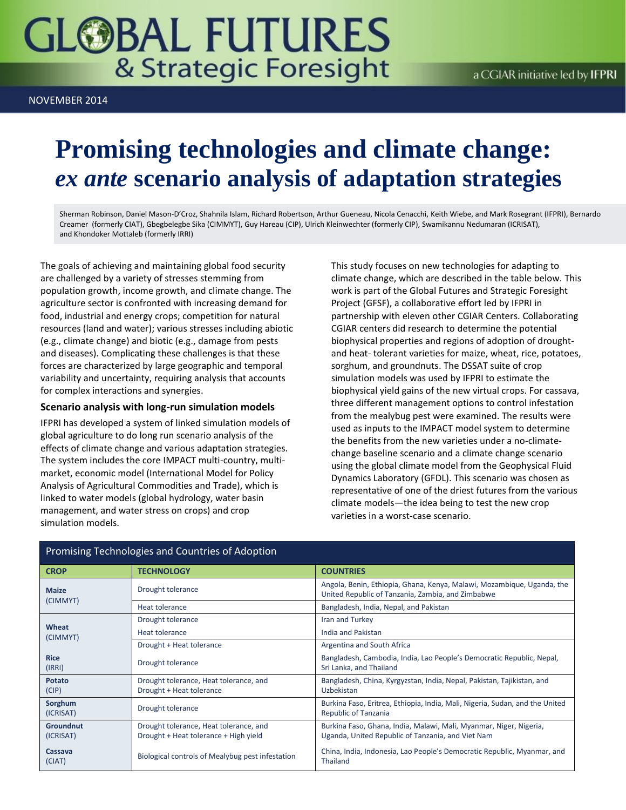# **GLOBAL FUTURES** & Strategic Foresight

NOVEMBER 2014

## **Promising technologies and climate change:** *ex ante* **scenario analysis of adaptation strategies**

Sherman Robinson, Daniel Mason-D'Croz, Shahnila Islam, Richard Robertson, Arthur Gueneau, Nicola Cenacchi, Keith Wiebe, and Mark Rosegrant (IFPRI), Bernardo Creamer (formerly CIAT), Gbegbelegbe Sika (CIMMYT), Guy Hareau (CIP), Ulrich Kleinwechter (formerly CIP), Swamikannu Nedumaran (ICRISAT), and Khondoker Mottaleb (formerly IRRI)

The goals of achieving and maintaining global food security are challenged by a variety of stresses stemming from population growth, income growth, and climate change. The agriculture sector is confronted with increasing demand for food, industrial and energy crops; competition for natural resources (land and water); various stresses including abiotic (e.g., climate change) and biotic (e.g., damage from pests and diseases). Complicating these challenges is that these forces are characterized by large geographic and temporal variability and uncertainty, requiring analysis that accounts for complex interactions and synergies.

#### **Scenario analysis with long-run simulation models**

IFPRI has developed a system of linked simulation models of global agriculture to do long run scenario analysis of the effects of climate change and various adaptation strategies. The system includes the core IMPACT multi-country, multimarket, economic model (International Model for Policy Analysis of Agricultural Commodities and Trade), which is linked to water models (global hydrology, water basin management, and water stress on crops) and crop simulation models.

This study focuses on new technologies for adapting to climate change, which are described in the table below. This work is part of the Global Futures and Strategic Foresight Project (GFSF), a collaborative effort led by IFPRI in partnership with eleven other CGIAR Centers. Collaborating CGIAR centers did research to determine the potential biophysical properties and regions of adoption of droughtand heat- tolerant varieties for maize, wheat, rice, potatoes, sorghum, and groundnuts. The DSSAT suite of crop simulation models was used by IFPRI to estimate the biophysical yield gains of the new virtual crops. For cassava, three different management options to control infestation from the mealybug pest were examined. The results were used as inputs to the IMPACT model system to determine the benefits from the new varieties under a no-climatechange baseline scenario and a climate change scenario using the global climate model from the Geophysical Fluid Dynamics Laboratory (GFDL). This scenario was chosen as representative of one of the driest futures from the various climate models—the idea being to test the new crop varieties in a worst-case scenario.

| <b>CROP</b>                   | <b>TECHNOLOGY</b>                                                               | <b>COUNTRIES</b>                                                                                                            |
|-------------------------------|---------------------------------------------------------------------------------|-----------------------------------------------------------------------------------------------------------------------------|
| <b>Maize</b><br>(CIMMYT)      | Drought tolerance                                                               | Angola, Benin, Ethiopia, Ghana, Kenya, Malawi, Mozambique, Uganda, the<br>United Republic of Tanzania, Zambia, and Zimbabwe |
|                               | Heat tolerance                                                                  | Bangladesh, India, Nepal, and Pakistan                                                                                      |
| Wheat<br>(CIMMYT)             | Drought tolerance                                                               | Iran and Turkey                                                                                                             |
|                               | Heat tolerance                                                                  | India and Pakistan                                                                                                          |
|                               | Drought + Heat tolerance                                                        | Argentina and South Africa                                                                                                  |
| <b>Rice</b><br>(IRRI)         | Drought tolerance                                                               | Bangladesh, Cambodia, India, Lao People's Democratic Republic, Nepal,<br>Sri Lanka, and Thailand                            |
| Potato<br>(CIP)               | Drought tolerance, Heat tolerance, and<br>Drought + Heat tolerance              | Bangladesh, China, Kyrgyzstan, India, Nepal, Pakistan, Tajikistan, and<br>Uzbekistan                                        |
| Sorghum<br>(ICRISAT)          | Drought tolerance                                                               | Burkina Faso, Eritrea, Ethiopia, India, Mali, Nigeria, Sudan, and the United<br>Republic of Tanzania                        |
| <b>Groundnut</b><br>(ICRISAT) | Drought tolerance, Heat tolerance, and<br>Drought + Heat tolerance + High yield | Burkina Faso, Ghana, India, Malawi, Mali, Myanmar, Niger, Nigeria,<br>Uganda, United Republic of Tanzania, and Viet Nam     |
| Cassava<br>(CIAT)             | Biological controls of Mealybug pest infestation                                | China, India, Indonesia, Lao People's Democratic Republic, Myanmar, and<br>Thailand                                         |

#### Promising Technologies and Countries of Adoption